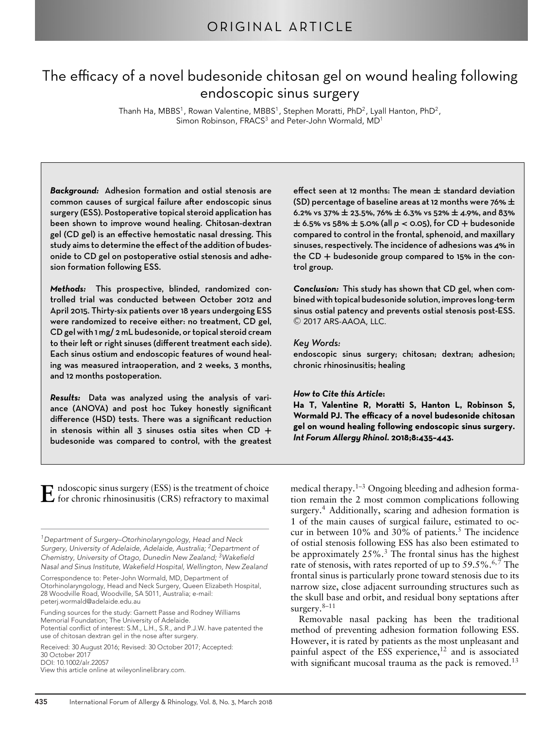# The efficacy of a novel budesonide chitosan gel on wound healing following endoscopic sinus surgery

Thanh Ha, MBBS<sup>1</sup>, Rowan Valentine, MBBS<sup>1</sup>, Stephen Moratti, PhD<sup>2</sup>, Lyall Hanton, PhD<sup>2</sup>, Simon Robinson, FRACS<sup>3</sup> and Peter-John Wormald, MD<sup>1</sup>

*Background:* Adhesion formation and ostial stenosis are common causes of surgical failure after endoscopic sinus surgery (ESS). Postoperative topical steroid application has been shown to improve wound healing. Chitosan-dextran gel (CD gel) is an effective hemostatic nasal dressing. This study aims to determine the effect of the addition of budesonide to CD gel on postoperative ostial stenosis and adhesion formation following ESS.

*Methods:* This prospective, blinded, randomized controlled trial was conducted between October 2012 and April 2015. Thirty-six patients over 18 years undergoing ESS were randomized to receive either: no treatment, CD gel, CD gel with 1 mg/ 2 mL budesonide, or topical steroid cream to their left or right sinuses (different treatment each side). Each sinus ostium and endoscopic features of wound healing was measured intraoperation, and 2 weeks, 3 months, and 12 months postoperation.

*Results:* Data was analyzed using the analysis of variance (ANOVA) and post hoc Tukey honestly significant difference (HSD) tests. There was a significant reduction in stenosis within all 3 sinuses ostia sites when CD **+** budesonide was compared to control, with the greatest effect seen at 12 months: The mean **±** standard deviation (SD) percentage of baseline areas at 12 months were 76% **±** 6.2% vs 37% **±** 23.5%, 76% **±** 6.3% vs 52% **±** 4.9%, and 83% **<sup>±</sup>** 6.5% vs 58% **<sup>±</sup>** 5.0% (all *<sup>p</sup> <sup>&</sup>lt;* 0.05), for CD **<sup>+</sup>** budesonide compared to control in the frontal, sphenoid, and maxillary sinuses, respectively. The incidence of adhesions was 4% in the CD **+** budesonide group compared to 15% in the control group.

*Conclusion:* This study has shown that CD gel, when combined with topical budesonide solution, improves long-term sinus ostial patency and prevents ostial stenosis post-ESS.  $\odot$  2017 ARS-AAOA, LLC.

#### *Key Words:*

endoscopic sinus surgery; chitosan; dextran; adhesion; chronic rhinosinusitis; healing

#### *How to Cite this Article***:**

Ha T, Valentine R, Moratti S, Hanton L, Robinson S, **Wormald PJ. The efficacy of a novel budesonide chitosan gel on wound healing following endoscopic sinus surgery.** *Int Forum Allergy Rhinol***. 2018;8:435–443.**

 $\bf E$  ndoscopic sinus surgery (ESS) is the treatment of choice<br>for chronic rhinosinusitis (CRS) refractory to maximal

*1Department of Surgery–Otorhinolaryngology, Head and Neck Surgery, University of Adelaide, Adelaide, Australia; 2Department of Chemistry, University of Otago, Dunedin New Zealand; 3Wakefield Nasal and Sinus Institute, Wakefield Hospital, Wellington, New Zealand*

Correspondence to: Peter-John Wormald, MD, Department of Otorhinolaryngology, Head and Neck Surgery, Queen Elizabeth Hospital, 28 Woodville Road, Woodville, SA 5011, Australia; e-mail: peterj.wormald@adelaide.edu.au

Funding sources for the study: Garnett Passe and Rodney Williams Memorial Foundation; The University of Adelaide. Potential conflict of interest: S.M., L.H., S.R., and P.J.W. have patented the

use of chitosan dextran gel in the nose after surgery.

Received: 30 August 2016; Revised: 30 October 2017; Accepted: 30 October 2017 DOI: 10.1002/alr.22057

View this article online at wileyonlinelibrary.com.

medical therapy.<sup>1–3</sup> Ongoing bleeding and adhesion formation remain the 2 most common complications following surgery.<sup>4</sup> Additionally, scaring and adhesion formation is 1 of the main causes of surgical failure, estimated to occur in between  $10\%$  and  $30\%$  of patients.<sup>5</sup> The incidence of ostial stenosis following ESS has also been estimated to be approximately  $25\%$ .<sup>3</sup> The frontal sinus has the highest rate of stenosis, with rates reported of up to  $59.5\%$ .<sup>6,7</sup> The frontal sinus is particularly prone toward stenosis due to its narrow size, close adjacent surrounding structures such as the skull base and orbit, and residual bony septations after surgery. $8-11$ 

Removable nasal packing has been the traditional method of preventing adhesion formation following ESS. However, it is rated by patients as the most unpleasant and painful aspect of the ESS experience, $12$  and is associated with significant mucosal trauma as the pack is removed.<sup>13</sup>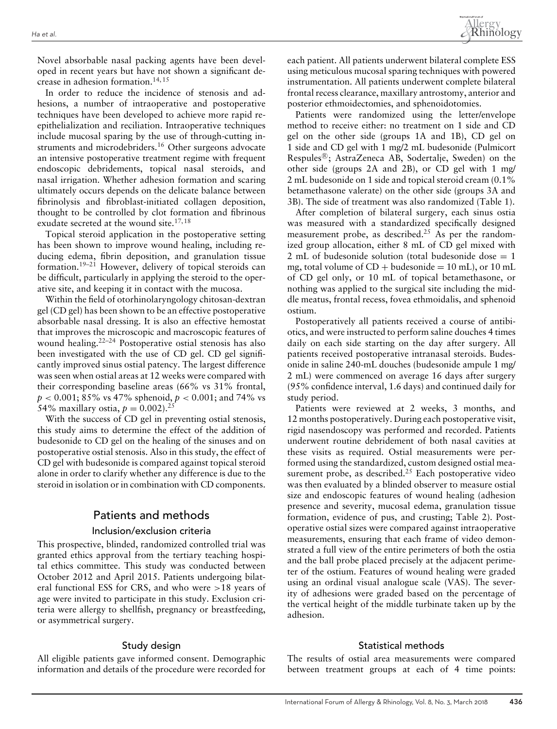Novel absorbable nasal packing agents have been developed in recent years but have not shown a significant decrease in adhesion formation.<sup>14,15</sup>

In order to reduce the incidence of stenosis and adhesions, a number of intraoperative and postoperative techniques have been developed to achieve more rapid reepithelialization and reciliation. Intraoperative techniques include mucosal sparing by the use of through-cutting instruments and microdebriders.<sup>16</sup> Other surgeons advocate an intensive postoperative treatment regime with frequent endoscopic debridements, topical nasal steroids, and nasal irrigation. Whether adhesion formation and scaring ultimately occurs depends on the delicate balance between fibrinolysis and fibroblast-initiated collagen deposition, thought to be controlled by clot formation and fibrinous exudate secreted at the wound site.<sup>17,18</sup>

Topical steroid application in the postoperative setting has been shown to improve wound healing, including reducing edema, fibrin deposition, and granulation tissue formation.19–21 However, delivery of topical steroids can be difficult, particularly in applying the steroid to the operative site, and keeping it in contact with the mucosa.

Within the field of otorhinolaryngology chitosan-dextran gel (CD gel) has been shown to be an effective postoperative absorbable nasal dressing. It is also an effective hemostat that improves the microscopic and macroscopic features of wound healing.22–24 Postoperative ostial stenosis has also been investigated with the use of CD gel. CD gel significantly improved sinus ostial patency. The largest difference was seen when ostial areas at 12 weeks were compared with their corresponding baseline areas (66% vs 31% frontal, *p <* 0.001; 85% vs 47% sphenoid, *p <* 0.001; and 74% vs 54% maxillary ostia,  $p = 0.002$ ).<sup>25</sup>

With the success of CD gel in preventing ostial stenosis, this study aims to determine the effect of the addition of budesonide to CD gel on the healing of the sinuses and on postoperative ostial stenosis. Also in this study, the effect of CD gel with budesonide is compared against topical steroid alone in order to clarify whether any difference is due to the steroid in isolation or in combination with CD components.

# Patients and methods

## Inclusion/exclusion criteria

This prospective, blinded, randomized controlled trial was granted ethics approval from the tertiary teaching hospital ethics committee. This study was conducted between October 2012 and April 2015. Patients undergoing bilateral functional ESS for CRS, and who were *>*18 years of age were invited to participate in this study. Exclusion criteria were allergy to shellfish, pregnancy or breastfeeding, or asymmetrical surgery.

## Study design

All eligible patients gave informed consent. Demographic information and details of the procedure were recorded for each patient. All patients underwent bilateral complete ESS using meticulous mucosal sparing techniques with powered instrumentation. All patients underwent complete bilateral frontal recess clearance, maxillary antrostomy, anterior and posterior ethmoidectomies, and sphenoidotomies.

Patients were randomized using the letter/envelope method to receive either: no treatment on 1 side and CD gel on the other side (groups 1A and 1B), CD gel on 1 side and CD gel with 1 mg/2 mL budesonide (Pulmicort Respules®; AstraZeneca AB, Sodertalje, Sweden) on the other side (groups 2A and 2B), or CD gel with 1 mg/ 2 mL budesonide on 1 side and topical steroid cream (0.1% betamethasone valerate) on the other side (groups 3A and 3B). The side of treatment was also randomized (Table 1).

After completion of bilateral surgery, each sinus ostia was measured with a standardized specifically designed measurement probe, as described.<sup>25</sup> As per the randomized group allocation, either 8 mL of CD gel mixed with 2 mL of budesonide solution (total budesonide dose  $= 1$ mg, total volume of  $CD +$  budesonide = 10 mL), or 10 mL of CD gel only, or 10 mL of topical betamethasone, or nothing was applied to the surgical site including the middle meatus, frontal recess, fovea ethmoidalis, and sphenoid ostium.

Postoperatively all patients received a course of antibiotics, and were instructed to perform saline douches 4 times daily on each side starting on the day after surgery. All patients received postoperative intranasal steroids. Budesonide in saline 240-mL douches (budesonide ampule 1 mg/ 2 mL) were commenced on average 16 days after surgery (95% confidence interval, 1.6 days) and continued daily for study period.

Patients were reviewed at 2 weeks, 3 months, and 12 months postoperatively. During each postoperative visit, rigid nasendoscopy was performed and recorded. Patients underwent routine debridement of both nasal cavities at these visits as required. Ostial measurements were performed using the standardized, custom designed ostial measurement probe, as described.<sup>25</sup> Each postoperative video was then evaluated by a blinded observer to measure ostial size and endoscopic features of wound healing (adhesion presence and severity, mucosal edema, granulation tissue formation, evidence of pus, and crusting; Table 2). Postoperative ostial sizes were compared against intraoperative measurements, ensuring that each frame of video demonstrated a full view of the entire perimeters of both the ostia and the ball probe placed precisely at the adjacent perimeter of the ostium. Features of wound healing were graded using an ordinal visual analogue scale (VAS). The severity of adhesions were graded based on the percentage of the vertical height of the middle turbinate taken up by the adhesion.

## Statistical methods

The results of ostial area measurements were compared between treatment groups at each of 4 time points: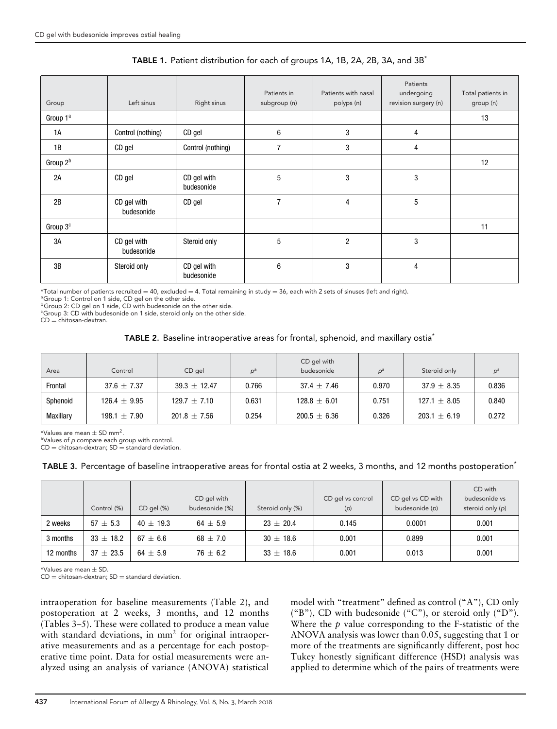| Group                | Left sinus                | Right sinus               | Patients in<br>subgroup (n) | Patients with nasal | Patients<br>undergoing<br>revision surgery (n) | Total patients in<br>group (n) |
|----------------------|---------------------------|---------------------------|-----------------------------|---------------------|------------------------------------------------|--------------------------------|
|                      |                           |                           |                             | polyps (n)          |                                                |                                |
| Group 1ª             |                           |                           |                             |                     |                                                | 13                             |
| 1A                   | Control (nothing)         | CD gel                    | 6                           | 3                   | $\overline{4}$                                 |                                |
| 1B                   | CD gel                    | Control (nothing)         | $\overline{7}$              | 3                   | 4                                              |                                |
| Group 2 <sup>b</sup> |                           |                           |                             |                     |                                                | 12                             |
| 2A                   | CD gel                    | CD gel with<br>budesonide | $5\phantom{.0}$             | 3                   | 3                                              |                                |
| 2B                   | CD gel with<br>budesonide | CD gel                    | 7                           | 4                   | $5\,$                                          |                                |
| Group 3 <sup>c</sup> |                           |                           |                             |                     |                                                | 11                             |
| 3A                   | CD gel with<br>budesonide | Steroid only              | 5                           | $\overline{2}$      | 3                                              |                                |
| 3B                   | Steroid only              | CD gel with<br>budesonide | 6                           | 3                   | 4                                              |                                |

## TABLE 1. Patient distribution for each of groups 1A, 1B, 2A, 2B, 3A, and 3B\*

 $*$ Total number of patients recruited = 40, excluded = 4. Total remaining in study = 36, each with 2 sets of sinuses (left and right).<br>ªGroup 1: Control on 1 side, CD gel on the other side.

<sup>b</sup>Group 2: CD gel on 1 side, CD with budesonide on the other side.

<sup>c</sup>Group 3: CD with budesonide on 1 side, steroid only on the other side.

 $CD =$  chitosan-dextran.

## TABLE 2. Baseline intraoperative areas for frontal, sphenoid, and maxillary ostia<sup>\*</sup>

| Area      | Control          | CD gel           | $D^a$ | CD gel with<br>budesonide | $\mathsf{D}^\mathsf{a}$ | Steroid only     |       |
|-----------|------------------|------------------|-------|---------------------------|-------------------------|------------------|-------|
| Frontal   | $37.6 \pm 7.37$  | $39.3 \pm 12.47$ | 0.766 | $37.4 \pm 7.46$           | 0.970                   | $37.9 \pm 8.35$  | 0.836 |
| Sphenoid  | $126.4 \pm 9.95$ | $129.7 \pm 7.10$ | 0.631 | $128.8 \pm 6.01$          | 0.751                   | $127.1 \pm 8.05$ | 0.840 |
| Maxillary | $198.1 \pm 7.90$ | $201.8 \pm 7.56$ | 0.254 | $200.5 \pm 6.36$          | 0.326                   | $203.1 \pm 6.19$ | 0.272 |

\*Values are mean  $\pm$  SD mm<sup>2</sup>.<br><sup>a</sup>Values of *p* compare each group with control.

 $CD =$  chitosan-dextran;  $SD =$  standard deviation.

TABLE 3. Percentage of baseline intraoperative areas for frontal ostia at 2 weeks, 3 months, and 12 months postoperation<sup>\*</sup>

|           | Control (%) | $CD$ gel $(\%)$ | CD gel with<br>budesonide (%) | Steroid only (%) | CD gel vs control<br>(p) | CD gel vs CD with<br>budesonide (p) | CD with<br>budesonide vs<br>steroid only (p) |
|-----------|-------------|-----------------|-------------------------------|------------------|--------------------------|-------------------------------------|----------------------------------------------|
| 2 weeks   | $57 + 5.3$  | $40 \pm 19.3$   | $64 \pm 5.9$                  | $23 \pm 20.4$    | 0.145                    | 0.0001                              | 0.001                                        |
| 3 months  | $33 + 18.2$ | $67 + 6.6$      | $68 + 7.0$                    | $30 \pm 18.6$    | 0.001                    | 0.899                               | 0.001                                        |
| 12 months | $37 + 23.5$ | $64 \pm 5.9$    | $76 \pm 6.2$                  | $33 \pm 18.6$    | 0.001                    | 0.013                               | 0.001                                        |

\*Values are mean ± SD.

CD = chitosan-dextran;  $SD =$  standard deviation.

intraoperation for baseline measurements (Table 2), and postoperation at 2 weeks, 3 months, and 12 months (Tables 3–5). These were collated to produce a mean value with standard deviations, in  $mm<sup>2</sup>$  for original intraoperative measurements and as a percentage for each postoperative time point. Data for ostial measurements were analyzed using an analysis of variance (ANOVA) statistical

model with "treatment" defined as control ("A"), CD only ("B"), CD with budesonide ("C"), or steroid only ("D"). Where the *p* value corresponding to the F-statistic of the ANOVA analysis was lower than 0.05, suggesting that 1 or more of the treatments are significantly different, post hoc Tukey honestly significant difference (HSD) analysis was applied to determine which of the pairs of treatments were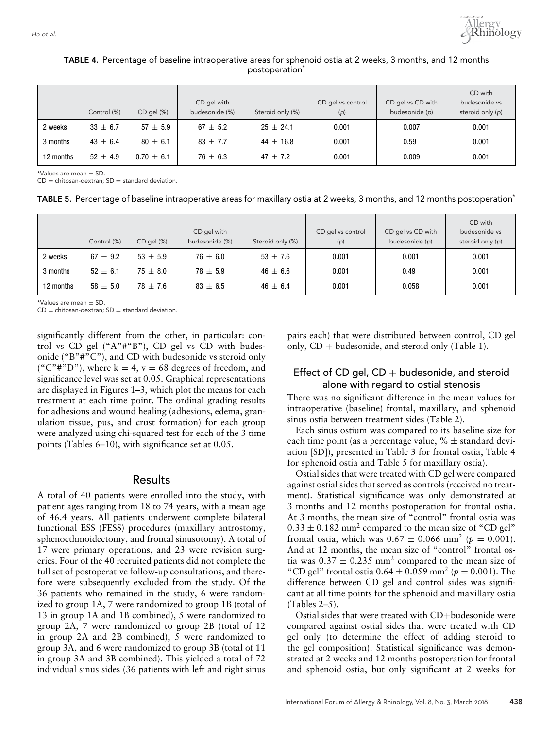

|           | Control (%)  | CD gel (%)     | CD gel with<br>budesonide (%) | Steroid only (%) | CD gel vs control<br>(p) | CD gel vs CD with<br>budesonide (p) | CD with<br>budesonide vs<br>steroid only (p) |
|-----------|--------------|----------------|-------------------------------|------------------|--------------------------|-------------------------------------|----------------------------------------------|
| 2 weeks   | $33 \pm 6.7$ | $57 + 5.9$     | $67 + 5.2$                    | $25 + 24.1$      | 0.001                    | 0.007                               | 0.001                                        |
| 3 months  | $43 \pm 6.4$ | $80 + 6.1$     | $83 \pm 7.7$                  | $44 \pm 16.8$    | 0.001                    | 0.59                                | 0.001                                        |
| 12 months | $52 + 4.9$   | $0.70 \pm 6.1$ | $76 \pm 6.3$                  | $47 + 7.2$       | 0.001                    | 0.009                               | 0.001                                        |

## TABLE 4. Percentage of baseline intraoperative areas for sphenoid ostia at 2 weeks, 3 months, and 12 months postoperation<sup>\*</sup>

 $*$ Values are mean  $+$  SD.

 $CD =$  chitosan-dextran;  $SD =$  standard deviation.

TABLE 5. Percentage of baseline intraoperative areas for maxillary ostia at 2 weeks, 3 months, and 12 months postoperation<sup>\*</sup>

|           | Control (%)  | CD gel (%)   | CD gel with<br>budesonide (%) | Steroid only (%) | CD gel vs control<br>(p) | CD gel vs CD with<br>budesonide (p) | CD with<br>budesonide vs<br>steroid only (p) |
|-----------|--------------|--------------|-------------------------------|------------------|--------------------------|-------------------------------------|----------------------------------------------|
| 2 weeks   | $67 \pm 9.2$ | $53 + 5.9$   | $76 \pm 6.0$                  | $53 + 7.6$       | 0.001                    | 0.001                               | 0.001                                        |
| 3 months  | $52 \pm 6.1$ | $75 \pm 8.0$ | $78 \pm 5.9$                  | $46 \pm 6.6$     | 0.001                    | 0.49                                | 0.001                                        |
| 12 months | $58 \pm 5.0$ | $78 \pm 7.6$ | $83 \pm 6.5$                  | $46 \pm 6.4$     | 0.001                    | 0.058                               | 0.001                                        |

\*Values are mean  $\pm$  SD

 $CD =$  chitosan-dextran;  $SD =$  standard deviation.

significantly different from the other, in particular: control vs CD gel ("A"#"B"), CD gel vs CD with budesonide ("B"#"C"), and CD with budesonide vs steroid only ("C"#"D"), where  $k = 4$ ,  $v = 68$  degrees of freedom, and significance level was set at 0.05. Graphical representations are displayed in Figures 1–3, which plot the means for each treatment at each time point. The ordinal grading results for adhesions and wound healing (adhesions, edema, granulation tissue, pus, and crust formation) for each group were analyzed using chi-squared test for each of the 3 time points (Tables 6–10), with significance set at 0.05.

## Results

A total of 40 patients were enrolled into the study, with patient ages ranging from 18 to 74 years, with a mean age of 46.4 years. All patients underwent complete bilateral functional ESS (FESS) procedures (maxillary antrostomy, sphenoethmoidectomy, and frontal sinusotomy). A total of 17 were primary operations, and 23 were revision surgeries. Four of the 40 recruited patients did not complete the full set of postoperative follow-up consultations, and therefore were subsequently excluded from the study. Of the 36 patients who remained in the study, 6 were randomized to group 1A, 7 were randomized to group 1B (total of 13 in group 1A and 1B combined), 5 were randomized to group 2A, 7 were randomized to group 2B (total of 12 in group 2A and 2B combined), 5 were randomized to group 3A, and 6 were randomized to group 3B (total of 11 in group 3A and 3B combined). This yielded a total of 72 individual sinus sides (36 patients with left and right sinus pairs each) that were distributed between control, CD gel only,  $CD +$  budesonide, and steroid only (Table 1).

## Effect of CD gel,  $CD +$  budesonide, and steroid alone with regard to ostial stenosis

There was no significant difference in the mean values for intraoperative (baseline) frontal, maxillary, and sphenoid sinus ostia between treatment sides (Table 2).

Each sinus ostium was compared to its baseline size for each time point (as a percentage value,  $% \pm$  standard deviation [SD]), presented in Table 3 for frontal ostia, Table 4 for sphenoid ostia and Table 5 for maxillary ostia).

Ostial sides that were treated with CD gel were compared against ostial sides that served as controls (received no treatment). Statistical significance was only demonstrated at 3 months and 12 months postoperation for frontal ostia. At 3 months, the mean size of "control" frontal ostia was  $0.33 \pm 0.182$  mm<sup>2</sup> compared to the mean size of "CD gel" frontal ostia, which was  $0.67 \pm 0.066$  mm<sup>2</sup> ( $p = 0.001$ ). And at 12 months, the mean size of "control" frontal ostia was  $0.37 \pm 0.235$  mm<sup>2</sup> compared to the mean size of "CD gel" frontal ostia  $0.64 \pm 0.059$  mm<sup>2</sup> ( $p = 0.001$ ). The difference between CD gel and control sides was significant at all time points for the sphenoid and maxillary ostia (Tables 2–5).

Ostial sides that were treated with CD+budesonide were compared against ostial sides that were treated with CD gel only (to determine the effect of adding steroid to the gel composition). Statistical significance was demonstrated at 2 weeks and 12 months postoperation for frontal and sphenoid ostia, but only significant at 2 weeks for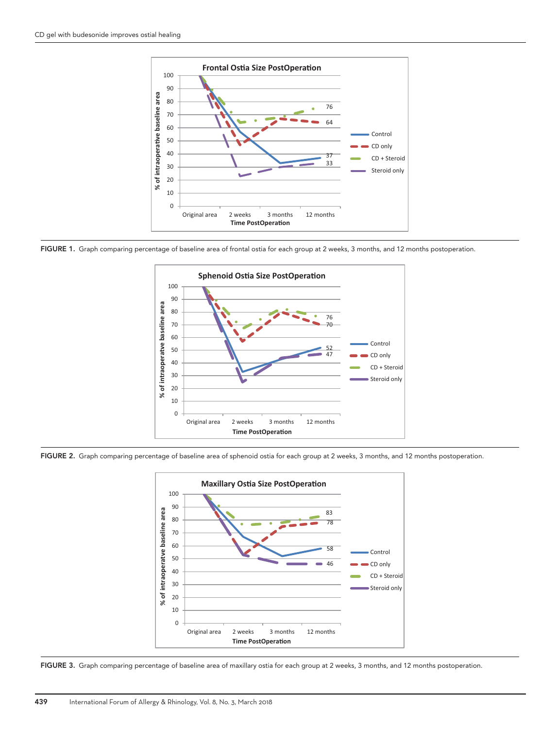

FIGURE 1. Graph comparing percentage of baseline area of frontal ostia for each group at 2 weeks, 3 months, and 12 months postoperation.



FIGURE 2. Graph comparing percentage of baseline area of sphenoid ostia for each group at 2 weeks, 3 months, and 12 months postoperation.



FIGURE 3. Graph comparing percentage of baseline area of maxillary ostia for each group at 2 weeks, 3 months, and 12 months postoperation.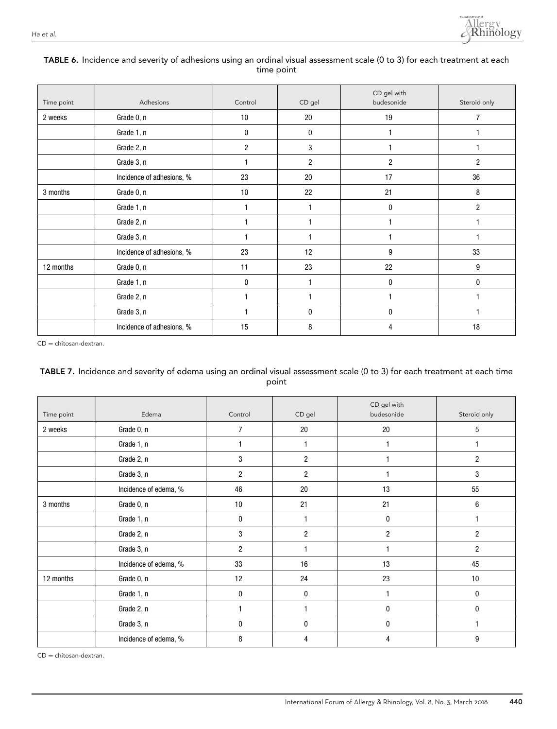

## TABLE 6. Incidence and severity of adhesions using an ordinal visual assessment scale (0 to 3) for each treatment at each time point

| Time point | Adhesions                 | Control        | CD gel       | CD gel with<br>budesonide | Steroid only   |
|------------|---------------------------|----------------|--------------|---------------------------|----------------|
| 2 weeks    | Grade 0, n                | 10             | 20           | 19                        | 7              |
|            | Grade 1, n                | 0              | 0            | 1                         |                |
|            | Grade 2, n                | $\overline{2}$ | 3            |                           |                |
|            | Grade 3, n                | 1              | 2            | 2                         | 2              |
|            | Incidence of adhesions, % | 23             | 20           | 17                        | 36             |
| 3 months   | Grade 0, n                | 10             | 22           | 21                        | 8              |
|            | Grade 1, n                | 1              | $\mathbf{1}$ | 0                         | $\overline{2}$ |
|            | Grade 2, n                | $\overline{1}$ | 1            |                           |                |
|            | Grade 3, n                | $\overline{1}$ | $\mathbf{1}$ |                           |                |
|            | Incidence of adhesions, % | 23             | 12           | 9                         | 33             |
| 12 months  | Grade 0, n                | 11             | 23           | 22                        | 9              |
|            | Grade 1, n                | 0              | $\mathbf 1$  | 0                         | 0              |
|            | Grade 2, n                | 1              | $\mathbf{1}$ |                           |                |
|            | Grade 3, n                | 1              | 0            | 0                         |                |
|            | Incidence of adhesions, % | 15             | 8            | 4                         | 18             |

CD = chitosan-dextran.

## TABLE 7. Incidence and severity of edema using an ordinal visual assessment scale (0 to 3) for each treatment at each time point

| Time point | Edema                 | Control          | CD gel         | CD gel with<br>budesonide | Steroid only   |
|------------|-----------------------|------------------|----------------|---------------------------|----------------|
| 2 weeks    | Grade 0, n            | 7                | 20             | 20                        | 5              |
|            | Grade 1, n            |                  |                | 1                         | 1              |
|            | Grade 2, n            | 3                | $\overline{c}$ |                           | $\overline{c}$ |
|            | Grade 3, n            | $\overline{c}$   | $\overline{c}$ |                           | 3              |
|            | Incidence of edema, % | 46               | 20             | 13                        | 55             |
| 3 months   | Grade 0, n            | 10               | 21             | 21                        | 6              |
|            | Grade 1, n            | $\boldsymbol{0}$ |                | $\mathbf{0}$              | 1              |
|            | Grade 2, n            | 3                | $\overline{c}$ | $\overline{2}$            | 2              |
|            | Grade 3, n            | $\overline{2}$   |                |                           | $\overline{2}$ |
|            | Incidence of edema, % | 33               | 16             | 13                        | 45             |
| 12 months  | Grade 0, n            | 12               | 24             | 23                        | 10             |
|            | Grade 1, n            | 0                | 0              | 1                         | 0              |
|            | Grade 2, n            | $\mathbf{1}$     |                | 0                         | 0              |
|            | Grade 3, n            | 0                | 0              | $\mathbf{0}$              | 1              |
|            | Incidence of edema, % | 8                | 4              | 4                         | 9              |

CD = chitosan-dextran.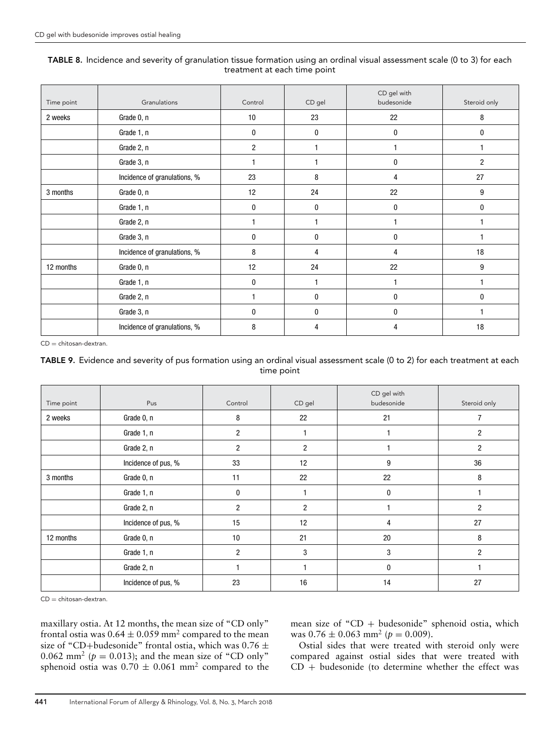## TABLE 8. Incidence and severity of granulation tissue formation using an ordinal visual assessment scale (0 to 3) for each treatment at each time point

| Time point | Granulations                 | Control        | CD gel | CD gel with<br>budesonide | Steroid only |
|------------|------------------------------|----------------|--------|---------------------------|--------------|
| 2 weeks    | Grade 0, n                   | 10             | 23     | 22                        | 8            |
|            | Grade 1, n                   | $\bf{0}$       | 0      | 0                         | $\mathbf{0}$ |
|            | Grade 2, n                   | $\overline{c}$ |        |                           |              |
|            | Grade 3, n                   |                |        | 0                         | 2            |
|            | Incidence of granulations, % | 23             | 8      | 4                         | 27           |
| 3 months   | Grade 0, n                   | 12             | 24     | 22                        | 9            |
|            | Grade 1, n                   | $\mathbf{0}$   | 0      | 0                         | 0            |
|            | Grade 2, n                   |                |        |                           |              |
|            | Grade 3, n                   | 0              | 0      | 0                         |              |
|            | Incidence of granulations, % | 8              | 4      | 4                         | 18           |
| 12 months  | Grade 0, n                   | 12             | 24     | 22                        | 9            |
|            | Grade 1, n                   | 0              |        |                           |              |
|            | Grade 2, n                   |                | 0      | 0                         | $\mathbf{0}$ |
|            | Grade 3, n                   | $\bf{0}$       | 0      | 0                         |              |
|            | Incidence of granulations, % | 8              | 4      | 4                         | 18           |

CD = chitosan-dextran.

## TABLE 9. Evidence and severity of pus formation using an ordinal visual assessment scale (0 to 2) for each treatment at each time point

| Time point | Pus                 | Control        | CD gel         | CD gel with<br>budesonide | Steroid only   |
|------------|---------------------|----------------|----------------|---------------------------|----------------|
| 2 weeks    | Grade 0, n          | 8              | 22             | 21                        | 7              |
|            | Grade 1, n          | $\overline{2}$ |                |                           | $\overline{2}$ |
|            | Grade 2, n          | $\overline{2}$ | 2              |                           | $\overline{c}$ |
|            | Incidence of pus, % | 33             | 12             | 9                         | 36             |
| 3 months   | Grade 0, n          | 11             | 22             | 22                        | 8              |
|            | Grade 1, n          | 0              |                | $\bf{0}$                  |                |
|            | Grade 2, n          | $\overline{2}$ | $\overline{2}$ |                           | $\overline{2}$ |
|            | Incidence of pus, % | 15             | 12             | 4                         | 27             |
| 12 months  | Grade 0, n          | 10             | 21             | 20                        | 8              |
|            | Grade 1, n          | $\overline{2}$ | 3              | 3                         | $\overline{2}$ |
|            | Grade 2, n          |                |                | $\bf{0}$                  |                |
|            | Incidence of pus, % | 23             | 16             | 14                        | 27             |

 $CD =$  chitosan-dextran.

maxillary ostia. At 12 months, the mean size of "CD only" frontal ostia was  $0.64 \pm 0.059$  mm<sup>2</sup> compared to the mean size of "CD+budesonide" frontal ostia, which was 0.76  $\pm$ 0.062 mm<sup>2</sup> ( $p = 0.013$ ); and the mean size of "CD only" sphenoid ostia was  $0.70 \pm 0.061$  mm<sup>2</sup> compared to the mean size of " $CD +$  budesonide" sphenoid ostia, which was  $0.76 \pm 0.063$  mm<sup>2</sup> ( $p = 0.009$ ).

Ostial sides that were treated with steroid only were compared against ostial sides that were treated with  $CD + b$ udesonide (to determine whether the effect was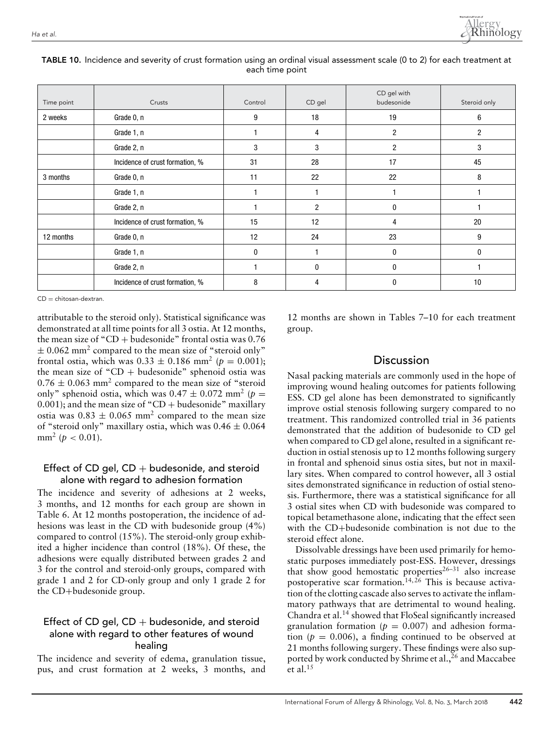

| Time point | Crusts                          | Control | CD gel         | CD gel with<br>budesonide | Steroid only   |
|------------|---------------------------------|---------|----------------|---------------------------|----------------|
| 2 weeks    | Grade 0, n                      | 9       | 18             | 19                        | 6              |
|            | Grade 1, n                      |         | 4              | $\overline{c}$            | $\overline{c}$ |
|            | Grade 2, n                      | 3       | 3              | $\overline{2}$            | 3              |
|            | Incidence of crust formation, % | 31      | 28             | 17                        | 45             |
| 3 months   | Grade 0, n                      | 11      | 22             | 22                        | 8              |
|            | Grade 1, n                      |         |                |                           |                |
|            | Grade 2, n                      |         | $\overline{2}$ | $\mathbf{0}$              |                |
|            | Incidence of crust formation, % | 15      | 12             | 4                         | 20             |
| 12 months  | Grade 0, n                      | 12      | 24             | 23                        | 9              |
|            | Grade 1, n                      | 0       |                | 0                         | 0              |
|            | Grade 2, n                      |         | 0              | 0                         |                |
|            | Incidence of crust formation, % | 8       | 4              | 0                         | 10             |

#### TABLE 10. Incidence and severity of crust formation using an ordinal visual assessment scale (0 to 2) for each treatment at each time point

 $CD =$  chitosan-dextran.

attributable to the steroid only). Statistical significance was demonstrated at all time points for all 3 ostia. At 12 months, the mean size of "CD + budesonide" frontal ostia was  $0.76$  $\pm$  0.062 mm<sup>2</sup> compared to the mean size of "steroid only" frontal ostia, which was  $0.33 \pm 0.186$  mm<sup>2</sup> ( $p = 0.001$ ); the mean size of "CD + budesonide" sphenoid ostia was  $0.76 \pm 0.063$  mm<sup>2</sup> compared to the mean size of "steroid" only" sphenoid ostia, which was  $0.47 \pm 0.072$  mm<sup>2</sup> ( $p =$  $0.001$ ); and the mean size of "CD + budesonide" maxillary ostia was  $0.83 \pm 0.065$  mm<sup>2</sup> compared to the mean size of "steroid only" maxillary ostia, which was  $0.46 \pm 0.064$ mm<sup>2</sup> ( $p < 0.01$ ).

## Effect of CD gel,  $CD +$  budesonide, and steroid alone with regard to adhesion formation

The incidence and severity of adhesions at 2 weeks, 3 months, and 12 months for each group are shown in Table 6. At 12 months postoperation, the incidence of adhesions was least in the CD with budesonide group (4%) compared to control (15%). The steroid-only group exhibited a higher incidence than control (18%). Of these, the adhesions were equally distributed between grades 2 and 3 for the control and steroid-only groups, compared with grade 1 and 2 for CD-only group and only 1 grade 2 for the CD+budesonide group.

## Effect of CD gel,  $CD +$  budesonide, and steroid alone with regard to other features of wound healing

The incidence and severity of edema, granulation tissue, pus, and crust formation at 2 weeks, 3 months, and 12 months are shown in Tables 7–10 for each treatment group.

# **Discussion**

Nasal packing materials are commonly used in the hope of improving wound healing outcomes for patients following ESS. CD gel alone has been demonstrated to significantly improve ostial stenosis following surgery compared to no treatment. This randomized controlled trial in 36 patients demonstrated that the addition of budesonide to CD gel when compared to CD gel alone, resulted in a significant reduction in ostial stenosis up to 12 months following surgery in frontal and sphenoid sinus ostia sites, but not in maxillary sites. When compared to control however, all 3 ostial sites demonstrated significance in reduction of ostial stenosis. Furthermore, there was a statistical significance for all 3 ostial sites when CD with budesonide was compared to topical betamethasone alone, indicating that the effect seen with the CD+budesonide combination is not due to the steroid effect alone.

Dissolvable dressings have been used primarily for hemostatic purposes immediately post-ESS. However, dressings that show good hemostatic properties $26-31$  also increase postoperative scar formation.<sup>14, 26</sup> This is because activation of the clotting cascade also serves to activate the inflammatory pathways that are detrimental to wound healing. Chandra et al.14 showed that FloSeal significantly increased granulation formation ( $p = 0.007$ ) and adhesion formation ( $p = 0.006$ ), a finding continued to be observed at 21 months following surgery. These findings were also supported by work conducted by Shrime et al.,  $^{26}$  and Maccabee et al. $15$